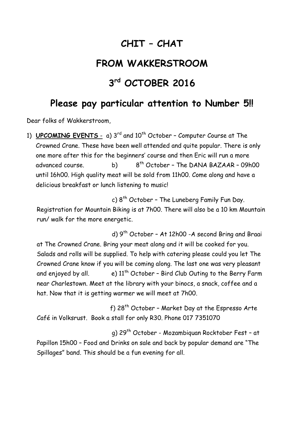## **CHIT – CHAT**

## **FROM WAKKERSTROOM**

## **3 rd OCTOBER 2016**

## **Please pay particular attention to Number 5!!**

Dear folks of Wakkerstroom,

1) **UPCOMING EVENTS** - a) 3<sup>rd</sup> and 10<sup>th</sup> October - Computer Course at The Crowned Crane. These have been well attended and quite popular. There is only one more after this for the beginners' course and then Eric will run a more advanced course. b) 8  $8<sup>th</sup> October - The DANA BAZAAR - O9hOO$ until 16h00. High quality meat will be sold from 11h00. Come along and have a delicious breakfast or lunch listening to music!

 c) 8 th October – The Luneberg Family Fun Day. Registration for Mountain Biking is at 7h00. There will also be a 10 km Mountain run/ walk for the more energetic.

d) 9<sup>th</sup> October - At 12h00 -A second Bring and Braai at The Crowned Crane. Bring your meat along and it will be cooked for you. Salads and rolls will be supplied. To help with catering please could you let The Crowned Crane know if you will be coming along. The last one was very pleasant and enjoyed by all. e)  $11^{th}$  October - Bird Club Outing to the Berry Farm near Charlestown. Meet at the library with your binocs, a snack, coffee and a hat. Now that it is getting warmer we will meet at 7h00.

f) 28<sup>th</sup> October - Market Day at the Espresso Arte Café in Volksrust. Book a stall for only R30. Phone 017 7351070

 g) 29th October - Mozambiquan Rocktober Fest – at Papillon 15h00 – Food and Drinks on sale and back by popular demand are "The Spillages" band. This should be a fun evening for all.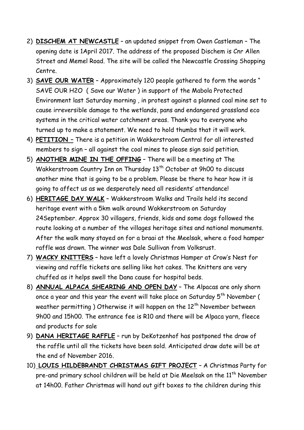- 2) **DISCHEM AT NEWCASTLE** an updated snippet from Owen Castleman The opening date is 1April 2017. The address of the proposed Dischem is Cnr Allen Street and Memel Road. The site will be called the Newcastle Crossing Shopping Centre.
- 3) **SAVE OUR WATER** Approximately 120 people gathered to form the words " SAVE OUR H2O ( Save our Water ) in support of the Mabola Protected Environment last Saturday morning , in protest against a planned coal mine set to cause irreversible damage to the wetlands, pans and endangered grassland eco systems in the critical water catchment areas. Thank you to everyone who turned up to make a statement. We need to hold thumbs that it will work.
- 4) **PETITION –** There is a petition in Wakkerstroom Central for all interested members to sign – all against the coal mines to please sign said petition.
- 5) **ANOTHER MINE IN THE OFFING** There will be a meeting at The Wakkerstroom Country Inn on Thursday 13<sup>th</sup> October at 9h00 to discuss another mine that is going to be a problem. Please be there to hear how it is going to affect us as we desperately need all residents' attendance!
- 6) **HERITAGE DAY WALK** Wakkerstroom Walks and Trails held its second heritage event with a 5km walk around Wakkerstroom on Saturday 24September. Approx 30 villagers, friends, kids and some dogs followed the route looking at a number of the villages heritage sites and national monuments. After the walk many stayed on for a braai at the Meelsak, where a food hamper raffle was drawn. The winner was Dale Sullivan from Volksrust.
- 7) **WACKY KNITTERS** have left a lovely Christmas Hamper at Crow's Nest for viewing and raffle tickets are selling like hot cakes. The Knitters are very chuffed as it helps swell the Dana cause for hospital beds.
- 8) **ANNUAL ALPACA SHEARING AND OPEN DAY** The Alpacas are only shorn once a year and this year the event will take place on Saturday 5<sup>th</sup> November ( weather permitting ) Otherwise it will happen on the  $12<sup>th</sup>$  November between 9h00 and 15h00. The entrance fee is R10 and there will be Alpaca yarn, fleece and products for sale
- 9) **DANA HERITAGE RAFFLE** run by DeKotzenhof has postponed the draw of the raffle until all the tickets have been sold. Anticipated draw date will be at the end of November 2016.
- 10) **LOUIS HILDEBRANDT CHRISTMAS GIFT PROJECT** A Christmas Party for pre-and primary school children will be held at Die Meelsak on the 11<sup>th</sup> November at 14h00. Father Christmas will hand out gift boxes to the children during this